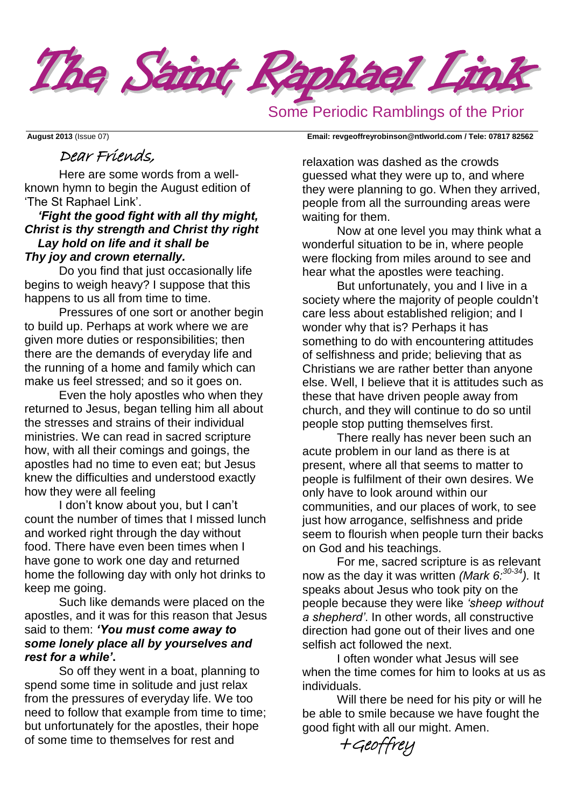

# Some Periodic Ramblings of the Prior

#### **August 2013** (Issue 07) **Email: [revgeoffreyrobinson@ntlworld.com](mailto:revgeoffreyrobinson@ntlworld.com) / Tele: 07817 82562**

## Dear Friends,

Here are some words from a wellknown hymn to begin the August edition of 'The St Raphael Link'.

#### *'Fight the good fight with all thy might, Christ is thy strength and Christ thy right Lay hold on life and it shall be Thy joy and crown eternally.*

Do you find that just occasionally life begins to weigh heavy? I suppose that this happens to us all from time to time.

Pressures of one sort or another begin to build up. Perhaps at work where we are given more duties or responsibilities; then there are the demands of everyday life and the running of a home and family which can make us feel stressed; and so it goes on.

Even the holy apostles who when they returned to Jesus, began telling him all about the stresses and strains of their individual ministries. We can read in sacred scripture how, with all their comings and goings, the apostles had no time to even eat; but Jesus knew the difficulties and understood exactly how they were all feeling

I don't know about you, but I can't count the number of times that I missed lunch and worked right through the day without food. There have even been times when I have gone to work one day and returned home the following day with only hot drinks to keep me going.

Such like demands were placed on the apostles, and it was for this reason that Jesus said to them: *'You must come away to some lonely place all by yourselves and rest for a while'***.**

So off they went in a boat, planning to spend some time in solitude and just relax from the pressures of everyday life. We too need to follow that example from time to time; but unfortunately for the apostles, their hope of some time to themselves for rest and

relaxation was dashed as the crowds guessed what they were up to, and where they were planning to go. When they arrived, people from all the surrounding areas were waiting for them.

Now at one level you may think what a wonderful situation to be in, where people were flocking from miles around to see and hear what the apostles were teaching.

But unfortunately, you and I live in a society where the majority of people couldn't care less about established religion; and I wonder why that is? Perhaps it has something to do with encountering attitudes of selfishness and pride; believing that as Christians we are rather better than anyone else. Well, I believe that it is attitudes such as these that have driven people away from church, and they will continue to do so until people stop putting themselves first.

There really has never been such an acute problem in our land as there is at present, where all that seems to matter to people is fulfilment of their own desires. We only have to look around within our communities, and our places of work, to see just how arrogance, selfishness and pride seem to flourish when people turn their backs on God and his teachings.

For me, sacred scripture is as relevant now as the day it was written *(Mark 6:30-34).* It speaks about Jesus who took pity on the people because they were like *'sheep without a shepherd'*. In other words, all constructive direction had gone out of their lives and one selfish act followed the next.

I often wonder what Jesus will see when the time comes for him to looks at us as individuals.

Will there be need for his pity or will he be able to smile because we have fought the good fight with all our might. Amen.

+Geoffrey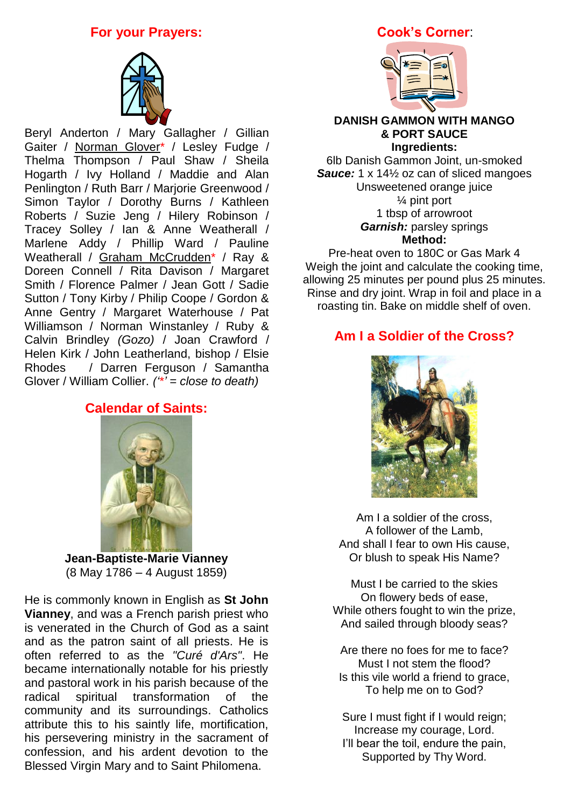## **For your Prayers:**



Beryl Anderton / Mary Gallagher / Gillian Gaiter / Norman Glover\* / Lesley Fudge / Thelma Thompson / Paul Shaw / Sheila Hogarth / Ivy Holland / Maddie and Alan Penlington / Ruth Barr / Marjorie Greenwood / Simon Taylor / Dorothy Burns / Kathleen Roberts / Suzie Jeng / Hilery Robinson / Tracey Solley / Ian & Anne Weatherall / Marlene Addy / Phillip Ward / Pauline Weatherall / Graham McCrudden\* / Ray & Doreen Connell / Rita Davison / Margaret Smith / Florence Palmer / Jean Gott / Sadie Sutton / Tony Kirby / Philip Coope / Gordon & Anne Gentry / Margaret Waterhouse / Pat Williamson / Norman Winstanley / Ruby & Calvin Brindley *(Gozo)* / Joan Crawford / Helen Kirk / John Leatherland, bishop / Elsie Rhodes / Darren Ferguson / Samantha Glover / William Collier. *('\*' = close to death)*

## **Calendar of Saints:**



**Jean-Baptiste-Marie Vianney** (8 May 1786 – 4 August 1859)

He is commonly known in English as **St John Vianney**, and was a French parish priest who is venerated in the Church of God as a saint and as the patron saint of all priests. He is often referred to as the *"Curé d'Ars"*. He became internationally notable for his priestly and pastoral work in his parish because of the radical spiritual transformation of the community and its surroundings. Catholics attribute this to his saintly life, mortification, his persevering ministry in the sacrament of confession, and his ardent devotion to the Blessed Virgin Mary and to Saint Philomena.

### **[C](http://homersykes.photoshelter.com/gallery-image/CHARLES-DICKENS-FESTIVAL-ROCHESTER-KENT-UK/G000071OyuH_ZXe8/I0000bt9DSe6odMA)ook's Corner**:



#### **DANISH GAMMON WITH MANGO & PORT SAUCE Ingredients:**

6lb Danish Gammon Joint, un-smoked *Sauce:* 1 x 14½ oz can of sliced mangoes Unsweetened orange juice ¼ pint port 1 tbsp of arrowroot *Garnish:* parsley springs **Method:**

Pre-heat oven to 180C or Gas Mark 4 Weigh the joint and calculate the cooking time, allowing 25 minutes per pound plus 25 minutes. Rinse and dry joint. Wrap in foil and place in a roasting tin. Bake on middle shelf of oven.

## **Am I a Soldier of the Cross?**



Am I a soldier of the cross, A follower of the Lamb, And shall I fear to own His cause, Or blush to speak His Name?

Must I be carried to the skies On flowery beds of ease, While others fought to win the prize, And sailed through bloody seas?

Are there no foes for me to face? Must I not stem the flood? Is this vile world a friend to grace, To help me on to God?

Sure I must fight if I would reign; Increase my courage, Lord. I'll bear the toil, endure the pain, Supported by Thy Word.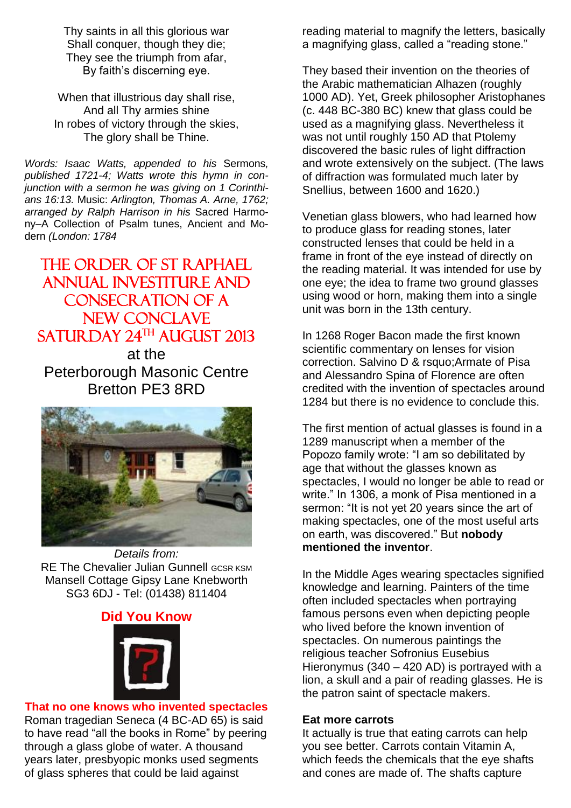Thy saints in all this glorious war Shall conquer, though they die; They see the triumph from afar, By faith's discerning eye.

When that illustrious day shall rise, And all Thy armies shine In robes of victory through the skies, The glory shall be Thine.

*Words: [Isaac Watts,](http://www.cyberhymnal.org/bio/w/a/t/watts_i.htm) appended to his* Sermons*, published 1721-4; Watts wrote this hymn in conjunction with a sermon he was giving on 1 Corinthians 16:13.* Music: *Arlington, [Thomas A. Arne,](http://www.cyberhymnal.org/bio/a/r/arne_ta.htm) 1762; arranged by [Ralph Harrison](http://www.cyberhymnal.org/bio/h/a/r/harrison_r.htm) in his* Sacred Harmony–A Collection of Psalm tunes, Ancient and Modern *(London: 1784*

# THE ORDER OF ST RAPHAEL Annual Investiture and CONSECRATION OF A New Conclave  $SATUR$ DAY  $24^{TH}$  AUGUST 2013

at the Peterborough Masonic Centre Bretton PE3 8RD



*Details from:* RE The Chevalier Julian Gunnell GCSR KSM Mansell Cottage Gipsy Lane Knebworth SG3 6DJ - Tel: (01438) 811404

### **Did You Know**



## **That no one [knows who invented spectacles](http://didyouknow.org/spectacles/)**

Roman tragedian Seneca (4 BC-AD 65) is said to have read "all the books in Rome" by peering through a glass globe of water. A thousand years later, presbyopic monks used segments of glass spheres that could be laid against

reading material to magnify the letters, basically a magnifying glass, called a "reading stone."

They based their invention on the theories of the Arabic mathematician Alhazen (roughly 1000 AD). Yet, Greek philosopher Aristophanes (c. 448 BC-380 BC) knew that glass could be used as a magnifying glass. Nevertheless it was not until roughly 150 AD that Ptolemy discovered the basic rules of light diffraction and wrote extensively on the subject. (The laws of diffraction was formulated much later by Snellius, between 1600 and 1620.)

Venetian glass blowers, who had learned how to produce glass for reading stones, later constructed lenses that could be held in a frame in front of the eye instead of directly on the reading material. It was intended for use by one eye; the idea to frame two ground glasses using wood or horn, making them into a single unit was born in the 13th century.

In 1268 Roger Bacon made the first known scientific commentary on lenses for vision correction. Salvino D & rsquo;Armate of Pisa and Alessandro Spina of Florence are often credited with the invention of spectacles around 1284 but there is no evidence to conclude this.

The first mention of actual glasses is found in a 1289 manuscript when a member of the Popozo family wrote: "I am so debilitated by age that without the glasses known as spectacles, I would no longer be able to read or write." In 1306, a monk of Pisa mentioned in a sermon: "It is not yet 20 years since the art of making spectacles, one of the most useful arts on earth, was discovered." But **nobody mentioned the inventor**.

In the Middle Ages wearing spectacles signified knowledge and learning. Painters of the time often included spectacles when portraying famous persons even when depicting people who lived before the known invention of spectacles. On numerous paintings the religious teacher Sofronius Eusebius Hieronymus (340 – 420 AD) is portrayed with a lion, a skull and a pair of reading glasses. He is the patron saint of spectacle makers.

#### **Eat more carrots**

It actually is true that eating carrots can help you see better. Carrots contain Vitamin A, which feeds the chemicals that the eye shafts and cones are made of. The shafts capture